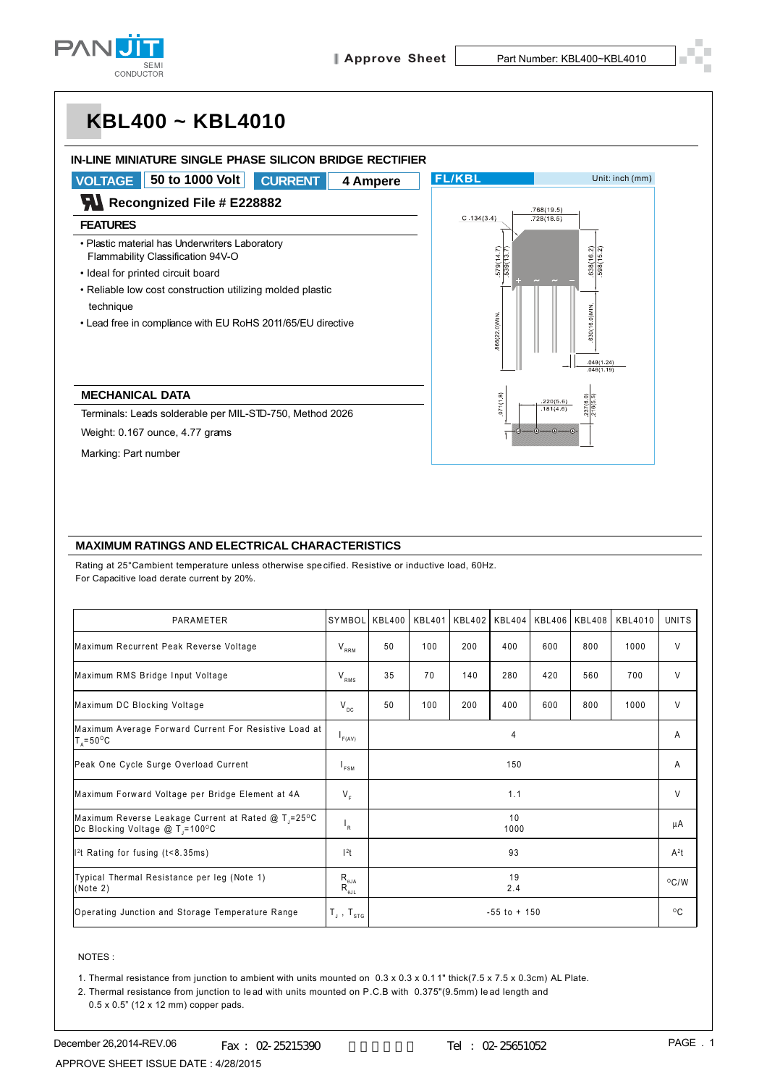

# **KBL400 ~ KBL4010**

#### **IN-LINE MINIATURE SINGLE PHASE SILICON BRIDGE RECTIFIER**



### **MAXIMUM RATINGS AND ELECTRICAL CHARACTERISTICS**

Rating at 25°Cambient temperature unless otherwise specified. Resistive or inductive load, 60Hz. For Capacitive load derate current by 20%.

| PARAMETER                                                                                          | SYMBOL                                                                                                     | KBL400          | KBL401 | KBL402 | <b>KBL404</b> | <b>KBL406</b> | <b>KBL408</b> | KBL4010 | <b>UNITS</b>   |
|----------------------------------------------------------------------------------------------------|------------------------------------------------------------------------------------------------------------|-----------------|--------|--------|---------------|---------------|---------------|---------|----------------|
| Maximum Recurrent Peak Reverse Voltage                                                             | $\mathsf{V}_{_{\mathsf{RRM}}}$                                                                             | 50              | 100    | 200    | 400           | 600           | 800           | 1000    | V              |
| Maximum RMS Bridge Input Voltage                                                                   | $\rm V_{_{RMS}}$                                                                                           | 35              | 70     | 140    | 280           | 420           | 560           | 700     | V              |
| Maximum DC Blocking Voltage                                                                        | $V_{\text{DC}}$                                                                                            | 50              | 100    | 200    | 400           | 600           | 800           | 1000    | V              |
| Maximum Average Forward Current For Resistive Load at<br>$T_{0} = 50^{\circ}$ C                    | F(AV)                                                                                                      | 4               |        |        |               |               |               |         | A              |
| Peak One Cycle Surge Overload Current                                                              | $I_{FSM}$                                                                                                  | 150             |        |        |               |               |               |         | A              |
| Maximum Forward Voltage per Bridge Element at 4A                                                   | $V_{\rm r}$                                                                                                | 1.1             |        |        |               |               |               |         | V              |
| Maximum Reverse Leakage Current at Rated @ T <sub>1</sub> =25°C<br>Dc Blocking Voltage @ T = 100°C | $\mathsf{I}_\mathsf{R}$                                                                                    | 10<br>1000      |        |        |               |               |               |         | μA             |
| $l2$ t Rating for fusing (t<8.35ms)                                                                | 1 <sup>2</sup> t                                                                                           | 93              |        |        |               |               |               |         | $A^2t$         |
| Typical Thermal Resistance per leg (Note 1)<br>(Note 2)                                            | $\mathsf{R}_{\scriptscriptstyle\theta\mathsf{J}\mathsf{A}}^{\scriptscriptstyle\theta\mathsf{J}\mathsf{A}}$ | 19<br>2.4       |        |        |               |               |               |         | $^{\circ}$ C/W |
| Operating Junction and Storage Temperature Range                                                   | $T_{\text{\tiny J}}$ , $T_{\text{\tiny STG}}$                                                              | $-55$ to $+150$ |        |        |               |               |               |         | $^{\circ}$ C   |

#### NOTES :

1. Thermal resistance from junction to ambient with units mounted on 0.3 x 0.3 x 0.1 1" thick(7.5 x 7.5 x 0.3cm) AL Plate.

2. Thermal resistance from junction to le ad with units mounted on P.C.B with 0.375"(9.5mm) le ad length and

0.5 x 0.5" (12 x 12 mm) copper pads.